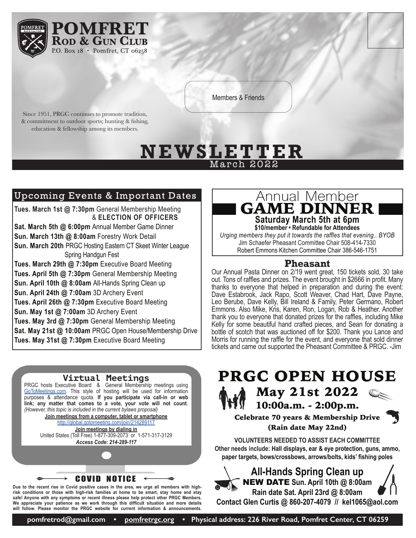

Members & Friends

Since 1951, PRGC continues to promote tradition, & commitment to outdoor sports; hunting & fishing, education & fellowship among its members.

# <u>N E W S L E T T E R</u> March 2022

### Upcoming Events & Important Dates

**Tues. March 1st @ 7:30pm** General Membership Meeting & **ELECTION OF OFFICERS Sat. March 5th @ 6:00pm** Annual Member Game Dinner **Sun. March 13th @ 8:00am** Forestry Work Detail **Sun. March 20th** PRGC Hosting Eastern CT Skeet Winter League Spring Handgun Fest **Tues. March 29th @ 7:30pm** Executive Board Meeting

**Tues. April 5th @ 7:30pm** General Membership Meeting **Sun. April 10th @ 8:00am** All-Hands Spring Clean up **Sun. April 24th @ 7:00am** 3D Archery Event **Tues. April 26th @ 7:30pm** Executive Board Meeting **Sun. May 1st @ 7:00am** 3D Archery Event **Tues. May 3rd @ 7:30pm** General Membership Meeting **Sat. May 21st @ 10:00am** PRGC Open House/Membership Drive **Tues. May 31st @ 7:30pm** Executive Board Meeting



**risk conditions or those with high-risk families at home to be smart, stay home and stay safe! Anyone with any symptoms or recent illness please help protect other PRGC Members. We appreciate your patience as we work through this difficult situation and more details will follow. Please monitor the PRGC website for current information & announcements.**

# Annual Member GAME DINNER

**Saturday March 5th at 6pm \$10/member • Refundable for Attendees**

*Urging members they put it towards the raffles that evening.. BYOB* Jim Schaefer Pheasant Committee Chair 508-414-7330 Robert Emmons Kitchen Committee Chair 386-546-1751

#### **Pheasant**

Our Annual Pasta Dinner on 2/19 went great, 150 tickets sold, 30 take out. Tons of raffles and prizes. The event brought in \$2666 in profit. Many thanks to everyone that helped in preparation and during the event: Dave Estabrook, Jack Rapo, Scott Weaver, Chad Hart, Dave Payne, Leo Berube, Dave Kelly, Bill Ireland & Family, Peter Germano, Robert Emmons. Also Mike, Kris, Karen, Ron, Logan, Rob & Heather. Another thank you to everyone that donated prizes for the raffles, including Mike Kelly for some beautiful hand crafted pieces, and Sean for donating a bottle of scotch that was auctioned off for \$200. Thank you Lance and Morris for running the raffle for the event, and everyone that sold dinner tickets and came out supported the Pheasant Committee & PRGC. -Jim

# PRGC OPEN HOUSE May 21st 2022

10:00a.m. - 2:00p.m.

#### Celebrate 70 years & Membership Drive (Rain date May 22nd)

**VOLUNTEERS NEEDED TO ASSIST EACH COMMITTEE Other needs include: Hall displays, ear & eye protection, guns, ammo, paper targets, bows/crossbows, arrows/bolts, kids' fishing poles** 

> **All-Hands Spring Clean up** NEW DATE **Sun. April 10th @ 8:00am Rain date Sat. April 23rd @ 8:00am**

**Contact Glen Curtis @ 860-207-4079 // kel1065@aol.com**